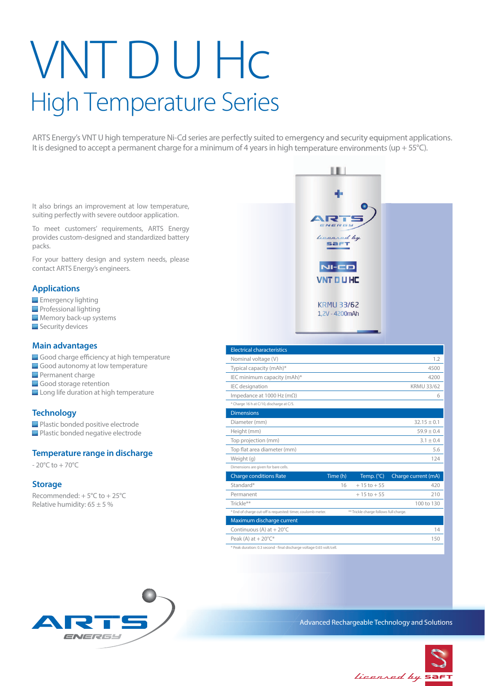# VNT D U Hc High Temperature Series

ARTS Energy's VNT U high temperature Ni-Cd series are perfectly suited to emergency and security equipment applications. It is designed to accept a permanent charge for a minimum of 4 years in high temperature environments (up + 55°C).

It also brings an improvement at low temperature, suiting perfectly with severe outdoor application.

To meet customers' requirements, ARTS Energy provides custom-designed and standardized battery packs.

For your battery design and system needs, please contact ARTS Energy's engineers.

# **Applications**

- **Emergency lighting**
- **Professional lighting**
- **Memory back-up systems**
- Security devices

### **Main advantages**

- Good charge efficiency at high temperature
- Good autonomy at low temperature
- **Permanent charge**
- Good storage retention
- Long life duration at high temperature

# **Technology**

**Plastic bonded positive electrode** 

**Plastic bonded negative electrode** 

# **Temperature range in discharge**

 $-20^{\circ}$ C to  $+70^{\circ}$ C

### **Storage**

Recommended: + 5°C to + 25°C Relative humidity:  $65 \pm 5 \%$ 



Ш

\* Peak duration: 0.3 second - final discharge voltage 0.65 volt/cell.